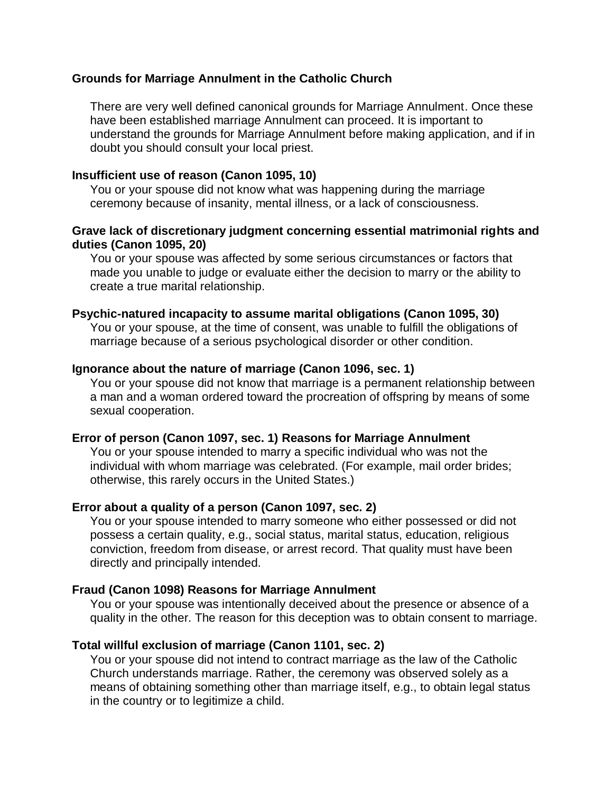# **Grounds for Marriage Annulment in the Catholic Church**

There are very well defined canonical grounds for Marriage Annulment. Once these have been established marriage Annulment can proceed. It is important to understand the grounds for Marriage Annulment before making application, and if in doubt you should consult your local priest.

#### **Insufficient use of reason (Canon 1095, 10)**

You or your spouse did not know what was happening during the marriage ceremony because of insanity, mental illness, or a lack of consciousness.

# **Grave lack of discretionary judgment concerning essential matrimonial rights and duties (Canon 1095, 20)**

You or your spouse was affected by some serious circumstances or factors that made you unable to judge or evaluate either the decision to marry or the ability to create a true marital relationship.

#### **Psychic-natured incapacity to assume marital obligations (Canon 1095, 30)**

You or your spouse, at the time of consent, was unable to fulfill the obligations of marriage because of a serious psychological disorder or other condition.

# **Ignorance about the nature of marriage (Canon 1096, sec. 1)**

You or your spouse did not know that marriage is a permanent relationship between a man and a woman ordered toward the procreation of offspring by means of some sexual cooperation.

#### **Error of person (Canon 1097, sec. 1) Reasons for Marriage Annulment**

You or your spouse intended to marry a specific individual who was not the individual with whom marriage was celebrated. (For example, mail order brides; otherwise, this rarely occurs in the United States.)

#### **Error about a quality of a person (Canon 1097, sec. 2)**

You or your spouse intended to marry someone who either possessed or did not possess a certain quality, e.g., social status, marital status, education, religious conviction, freedom from disease, or arrest record. That quality must have been directly and principally intended.

#### **Fraud (Canon 1098) Reasons for Marriage Annulment**

You or your spouse was intentionally deceived about the presence or absence of a quality in the other. The reason for this deception was to obtain consent to marriage.

#### **Total willful exclusion of marriage (Canon 1101, sec. 2)**

You or your spouse did not intend to contract marriage as the law of the Catholic Church understands marriage. Rather, the ceremony was observed solely as a means of obtaining something other than marriage itself, e.g., to obtain legal status in the country or to legitimize a child.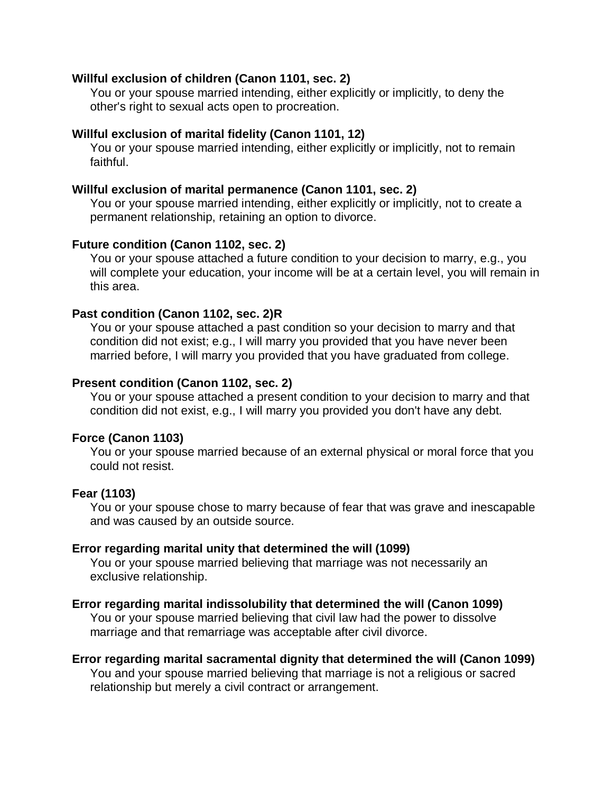## **Willful exclusion of children (Canon 1101, sec. 2)**

You or your spouse married intending, either explicitly or implicitly, to deny the other's right to sexual acts open to procreation.

# **Willful exclusion of marital fidelity (Canon 1101, 12)**

You or your spouse married intending, either explicitly or implicitly, not to remain faithful.

# **Willful exclusion of marital permanence (Canon 1101, sec. 2)**

You or your spouse married intending, either explicitly or implicitly, not to create a permanent relationship, retaining an option to divorce.

# **Future condition (Canon 1102, sec. 2)**

You or your spouse attached a future condition to your decision to marry, e.g., you will complete your education, your income will be at a certain level, you will remain in this area.

# **Past condition (Canon 1102, sec. 2)R**

You or your spouse attached a past condition so your decision to marry and that condition did not exist; e.g., I will marry you provided that you have never been married before, I will marry you provided that you have graduated from college.

# **Present condition (Canon 1102, sec. 2)**

You or your spouse attached a present condition to your decision to marry and that condition did not exist, e.g., I will marry you provided you don't have any debt.

## **Force (Canon 1103)**

You or your spouse married because of an external physical or moral force that you could not resist.

# **Fear (1103)**

You or your spouse chose to marry because of fear that was grave and inescapable and was caused by an outside source.

#### **Error regarding marital unity that determined the will (1099)**

You or your spouse married believing that marriage was not necessarily an exclusive relationship.

#### **Error regarding marital indissolubility that determined the will (Canon 1099)**

You or your spouse married believing that civil law had the power to dissolve marriage and that remarriage was acceptable after civil divorce.

# **Error regarding marital sacramental dignity that determined the will (Canon 1099)**

You and your spouse married believing that marriage is not a religious or sacred relationship but merely a civil contract or arrangement.